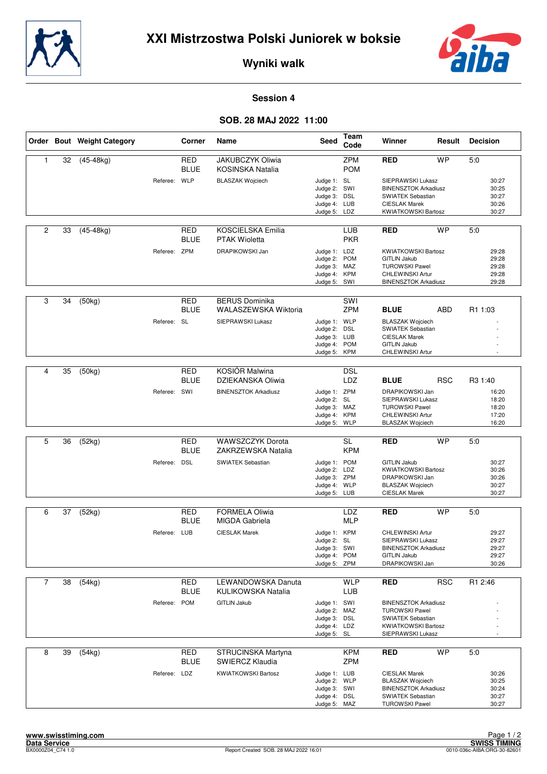



**Wyniki walk**

## **Session 4**

## **SOB. 28 MAJ 2022 11:00**

|                |    | Order Bout Weight Category |              | <b>Corner</b>             | Name                                             | <b>Seed</b>                                                                  | Team<br>Code             | Winner                                                                                                                               | Result     | <b>Decision</b>                           |
|----------------|----|----------------------------|--------------|---------------------------|--------------------------------------------------|------------------------------------------------------------------------------|--------------------------|--------------------------------------------------------------------------------------------------------------------------------------|------------|-------------------------------------------|
| $\mathbf{1}$   | 32 | $(45-48kg)$                |              | RED<br><b>BLUE</b>        | <b>JAKUBCZYK Oliwia</b><br>KOSINSKA Natalia      |                                                                              | <b>ZPM</b><br><b>POM</b> | <b>RED</b>                                                                                                                           | <b>WP</b>  | 5:0                                       |
|                |    |                            | Referee: WLP |                           | <b>BLASZAK Wojciech</b>                          | Judge 1: SL<br>Judge 2: SWI<br>Judge 3: DSL<br>Judge 4: LUB<br>Judge 5: LDZ  |                          | SIEPRAWSKI Lukasz<br><b>BINENSZTOK Arkadiusz</b><br>SWIATEK Sebastian<br><b>CIESLAK Marek</b><br><b>KWIATKOWSKI Bartosz</b>          |            | 30:27<br>30:25<br>30:27<br>30:26<br>30:27 |
| $\overline{c}$ | 33 | $(45-48kg)$                |              | RED<br><b>BLUE</b>        | <b>KOSCIELSKA Emilia</b><br><b>PTAK Wioletta</b> |                                                                              | LUB<br><b>PKR</b>        | <b>RED</b>                                                                                                                           | <b>WP</b>  | 5:0                                       |
|                |    |                            | Referee: ZPM |                           | DRAPIKOWSKI Jan                                  | Judge 1: LDZ<br>Judge 2:<br>Judge 3: MAZ<br>Judge 4: KPM<br>Judge 5: SWI     | <b>POM</b>               | <b>KWIATKOWSKI Bartosz</b><br><b>GITLIN Jakub</b><br><b>TUROWSKI Pawel</b><br><b>CHLEWINSKI Artur</b><br><b>BINENSZTOK Arkadiusz</b> |            | 29:28<br>29:28<br>29:28<br>29:28<br>29:28 |
| 3              | 34 | (50kg)                     |              | <b>RED</b><br><b>BLUE</b> | <b>BERUS Dominika</b><br>WALASZEWSKA Wiktoria    |                                                                              | SWI<br><b>ZPM</b>        | <b>BLUE</b>                                                                                                                          | ABD        | R1 1:03                                   |
|                |    |                            | Referee: SL  |                           | SIEPRAWSKI Lukasz                                | Judge 1: WLP<br>Judge 2: DSL<br>Judge 3: LUB<br>Judge 4: POM<br>Judge 5:     | <b>KPM</b>               | <b>BLASZAK Wojciech</b><br>SWIATEK Sebastian<br><b>CIESLAK Marek</b><br><b>GITLIN Jakub</b><br>CHLEWINSKI Artur                      |            |                                           |
| 4              | 35 | (50kg)                     |              | <b>RED</b>                | <b>KOSIÓR Malwina</b>                            |                                                                              | <b>DSL</b>               |                                                                                                                                      |            |                                           |
|                |    |                            |              | <b>BLUE</b>               | DZIEKANSKA Oliwia                                |                                                                              | LDZ                      | <b>BLUE</b>                                                                                                                          | <b>RSC</b> | R <sub>3</sub> 1:40                       |
|                |    |                            | Referee: SWI |                           | <b>BINENSZTOK Arkadiusz</b>                      | Judge 1: ZPM<br>Judge 2: SL<br>Judge 3: MAZ<br>Judge 4: KPM<br>Judge 5: WLP  |                          | DRAPIKOWSKI Jan<br>SIEPRAWSKI Lukasz<br><b>TUROWSKI Pawel</b><br>CHLEWINSKI Artur<br><b>BLASZAK Wojciech</b>                         |            | 16:20<br>18:20<br>18:20<br>17:20<br>16:20 |
|                |    |                            |              |                           |                                                  |                                                                              |                          |                                                                                                                                      |            |                                           |
| 5              | 36 | (52kg)                     |              | <b>RED</b><br><b>BLUE</b> | <b>WAWSZCZYK Dorota</b><br>ZAKRZEWSKA Natalia    |                                                                              | <b>SL</b><br><b>KPM</b>  | <b>RED</b>                                                                                                                           | <b>WP</b>  | 5:0                                       |
|                |    |                            | Referee: DSL |                           | SWIATEK Sebastian                                | Judge 1: POM<br>Judge 2: LDZ<br>Judge 3: ZPM<br>Judge 4: WLP<br>Judge 5: LUB |                          | <b>GITLIN Jakub</b><br><b>KWIATKOWSKI Bartosz</b><br>DRAPIKOWSKI Jan<br><b>BLASZAK Wojciech</b><br><b>CIESLAK Marek</b>              |            | 30:27<br>30:26<br>30:26<br>30:27<br>30:27 |
| 6              | 37 | $\overline{(}52kg)$        |              | RED                       | <b>FORMELA Oliwia</b>                            |                                                                              | LDZ                      | <b>RED</b>                                                                                                                           | <b>WP</b>  | 5:0                                       |
|                |    |                            |              | <b>BLUE</b>               | <b>MIGDA Gabriela</b>                            |                                                                              | <b>MLP</b>               |                                                                                                                                      |            |                                           |
|                |    |                            | Referee: LUB |                           | <b>CIESLAK Marek</b>                             | Judge 1: KPM<br>Judge 2: SL<br>Judge 3: SWI<br>Judge 4: POM<br>Judge 5: ZPM  |                          | CHLEWINSKI Artur<br>SIEPRAWSKI Lukasz<br><b>BINENSZTOK Arkadiusz</b><br><b>GITLIN Jakub</b><br>DRAPIKOWSKI Jan                       |            | 29:27<br>29:27<br>29:27<br>29:27<br>30:26 |
| $\overline{7}$ | 38 | (54kg)                     |              | <b>RED</b>                | <b>LEWANDOWSKA Danuta</b>                        |                                                                              | <b>WLP</b>               | <b>RED</b>                                                                                                                           | <b>RSC</b> | R1 2:46                                   |
|                |    |                            |              | <b>BLUE</b>               | KULIKOWSKA Natalia                               |                                                                              | LUB                      |                                                                                                                                      |            |                                           |
|                |    |                            | Referee: POM |                           | <b>GITLIN Jakub</b>                              | Judge 1: SWI<br>Judge 2: MAZ<br>Judge 3: DSL<br>Judge 4: LDZ<br>Judge 5: SL  |                          | <b>BINENSZTOK Arkadiusz</b><br><b>TUROWSKI Pawel</b><br><b>SWIATEK Sebastian</b><br><b>KWIATKOWSKI Bartosz</b><br>SIEPRAWSKI Lukasz  |            |                                           |
| 8              | 39 | (54kg)                     |              | <b>RED</b><br><b>BLUE</b> | STRUCINSKA Martyna<br>SWIERCZ Klaudia            |                                                                              | <b>KPM</b><br>ZPM        | <b>RED</b>                                                                                                                           | <b>WP</b>  | 5:0                                       |
|                |    |                            | Referee: LDZ |                           | <b>KWIATKOWSKI Bartosz</b>                       | Judge 1: LUB<br>Judge 2: WLP<br>Judge 3: SWI<br>Judge 4: DSL<br>Judge 5: MAZ |                          | <b>CIESLAK Marek</b><br><b>BLASZAK Wojciech</b><br><b>BINENSZTOK Arkadiusz</b><br>SWIATEK Sebastian<br><b>TUROWSKI Pawel</b>         |            | 30:26<br>30:25<br>30:24<br>30:27<br>30:27 |